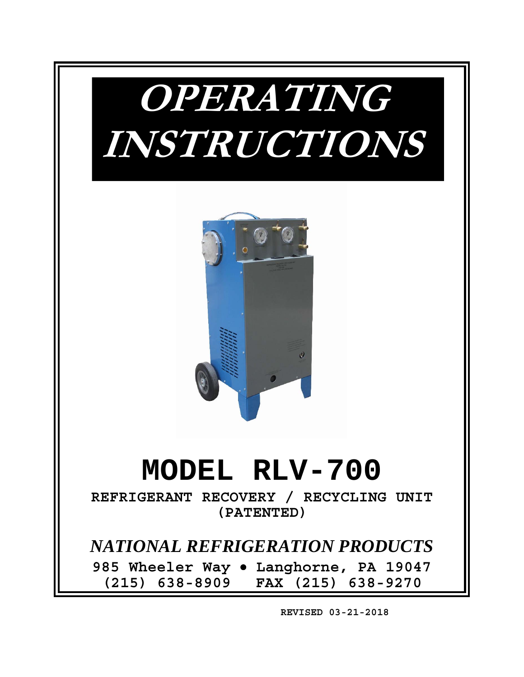



# **MODEL RLV-700**

**REFRIGERANT RECOVERY / RECYCLING UNIT (PATENTED)** 

*NATIONAL REFRIGERATION PRODUCTS* 

**985 Wheeler Way Langhorne, PA 19047 (215) 638-8909 FAX (215) 638-9270** 

 **REVISED 03-21-2018**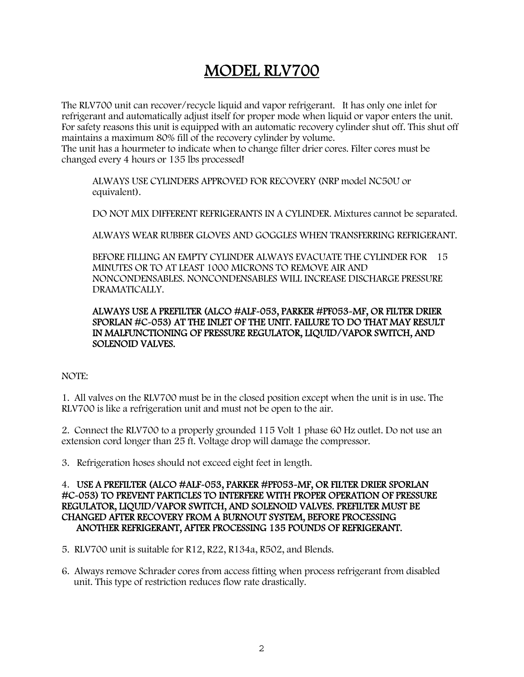### MODEL RLV700

The RLV700 unit can recover/recycle liquid and vapor refrigerant. It has only one inlet for refrigerant and automatically adjust itself for proper mode when liquid or vapor enters the unit. For safety reasons this unit is equipped with an automatic recovery cylinder shut off. This shut off maintains a maximum 80% fill of the recovery cylinder by volume.

The unit has a hourmeter to indicate when to change filter drier cores. Filter cores must be changed every 4 hours or 135 lbs processed!

 ALWAYS USE CYLINDERS APPROVED FOR RECOVERY (NRP model NC50U or equivalent).

DO NOT MIX DIFFERENT REFRIGERANTS IN A CYLINDER. Mixtures cannot be separated.

ALWAYS WEAR RUBBER GLOVES AND GOGGLES WHEN TRANSFERRING REFRIGERANT.

 BEFORE FILLING AN EMPTY CYLINDER ALWAYS EVACUATE THE CYLINDER FOR 15 MINUTES OR TO AT LEAST 1000 MICRONS TO REMOVE AIR AND NONCONDENSABLES. NONCONDENSABLES WILL INCREASE DISCHARGE PRESSURE DRAMATICALLY.

#### ALWAYS USE A PREFILTER (ALCO #ALF-053, PARKER #PF053-MF, OR FILTER DRIER SPORLAN #C-053) AT THE INLET OF THE UNIT. FAILURE TO DO THAT MAY RESULT IN MALFUNCTIONING OF PRESSURE REGULATOR, LIQUID/VAPOR SWITCH, AND SOLENOID VALVES.

#### NOTE:

1. All valves on the RLV700 must be in the closed position except when the unit is in use. The RLV700 is like a refrigeration unit and must not be open to the air.

2. Connect the RLV700 to a properly grounded 115 Volt 1 phase 60 Hz outlet. Do not use an extension cord longer than 25 ft. Voltage drop will damage the compressor.

3. Refrigeration hoses should not exceed eight feet in length.

#### 4. USE A PREFILTER (ALCO #ALF-053, PARKER #PF053-MF, OR FILTER DRIER SPORLAN #C-053) TO PREVENT PARTICLES TO INTERFERE WITH PROPER OPERATION OF PRESSURE REGULATOR, LIQUID/VAPOR SWITCH, AND SOLENOID VALVES. PREFILTER MUST BE CHANGED AFTER RECOVERY FROM A BURNOUT SYSTEM, BEFORE PROCESSING ANOTHER REFRIGERANT, AFTER PROCESSING 135 POUNDS OF REFRIGERANT.

5. RLV700 unit is suitable for R12, R22, R134a, R502, and Blends.

6. Always remove Schrader cores from access fitting when process refrigerant from disabled unit. This type of restriction reduces flow rate drastically.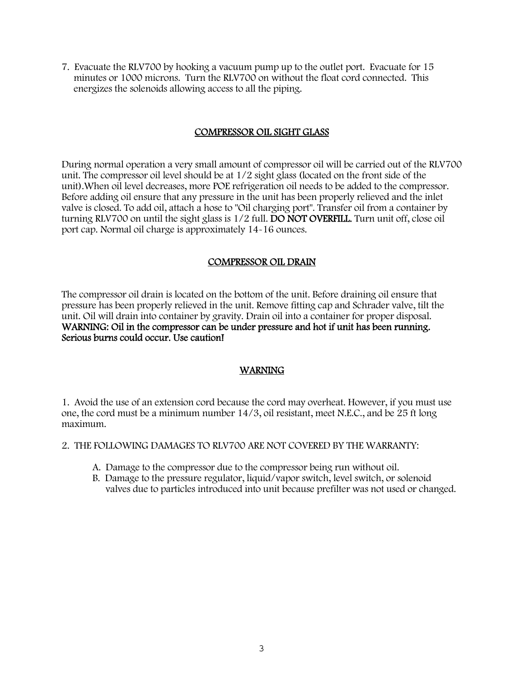7. Evacuate the RLV700 by hooking a vacuum pump up to the outlet port. Evacuate for 15 minutes or 1000 microns. Turn the RLV700 on without the float cord connected. This energizes the solenoids allowing access to all the piping.

#### COMPRESSOR OIL SIGHT GLASS

During normal operation a very small amount of compressor oil will be carried out of the RLV700 unit. The compressor oil level should be at 1/2 sight glass (located on the front side of the unit).When oil level decreases, more POE refrigeration oil needs to be added to the compressor. Before adding oil ensure that any pressure in the unit has been properly relieved and the inlet valve is closed. To add oil, attach a hose to "Oil charging port". Transfer oil from a container by turning RLV700 on until the sight glass is 1/2 full. DO NOT OVERFILL. Turn unit off, close oil port cap. Normal oil charge is approximately 14-16 ounces.

#### COMPRESSOR OIL DRAIN

The compressor oil drain is located on the bottom of the unit. Before draining oil ensure that pressure has been properly relieved in the unit. Remove fitting cap and Schrader valve, tilt the unit. Oil will drain into container by gravity. Drain oil into a container for proper disposal. WARNING: Oil in the compressor can be under pressure and hot if unit has been running. Serious burns could occur. Use caution!

#### WARNING

1. Avoid the use of an extension cord because the cord may overheat. However, if you must use one, the cord must be a minimum number 14/3, oil resistant, meet N.E.C., and be 25 ft long maximum.

#### 2. THE FOLLOWING DAMAGES TO RLV700 ARE NOT COVERED BY THE WARRANTY:

- A. Damage to the compressor due to the compressor being run without oil.
- B. Damage to the pressure regulator, liquid/vapor switch, level switch, or solenoid valves due to particles introduced into unit because prefilter was not used or changed.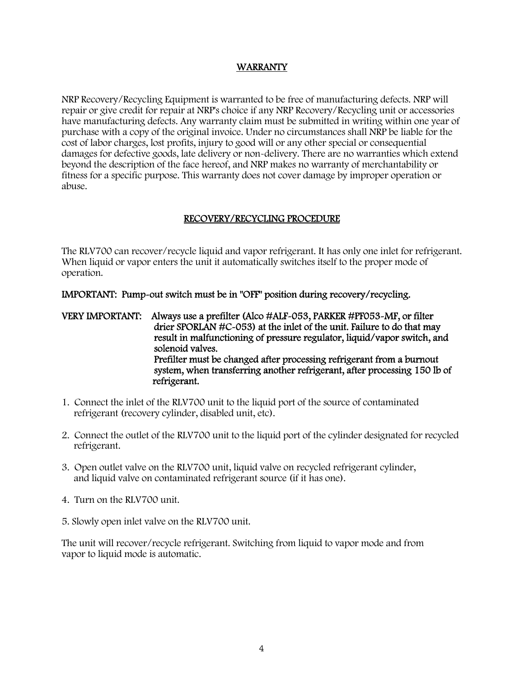#### WARRANTY

NRP Recovery/Recycling Equipment is warranted to be free of manufacturing defects. NRP will repair or give credit for repair at NRP's choice if any NRP Recovery/Recycling unit or accessories have manufacturing defects. Any warranty claim must be submitted in writing within one year of purchase with a copy of the original invoice. Under no circumstances shall NRP be liable for the cost of labor charges, lost profits, injury to good will or any other special or consequential damages for defective goods, late delivery or non-delivery. There are no warranties which extend beyond the description of the face hereof, and NRP makes no warranty of merchantability or fitness for a specific purpose. This warranty does not cover damage by improper operation or abuse.

#### RECOVERY/RECYCLING PROCEDURE

The RLV700 can recover/recycle liquid and vapor refrigerant. It has only one inlet for refrigerant. When liquid or vapor enters the unit it automatically switches itself to the proper mode of operation.

IMPORTANT: Pump-out switch must be in "OFF" position during recovery/recycling.

VERY IMPORTANT: Always use a prefilter (Alco #ALF-053, PARKER #PF053-MF, or filter drier SPORLAN #C-053) at the inlet of the unit. Failure to do that may result in malfunctioning of pressure regulator, liquid/vapor switch, and solenoid valves. Prefilter must be changed after processing refrigerant from a burnout system, when transferring another refrigerant, after processing 150 lb of refrigerant.

- 1. Connect the inlet of the RLV700 unit to the liquid port of the source of contaminated refrigerant (recovery cylinder, disabled unit, etc).
- 2. Connect the outlet of the RLV700 unit to the liquid port of the cylinder designated for recycled refrigerant.
- 3. Open outlet valve on the RLV700 unit, liquid valve on recycled refrigerant cylinder, and liquid valve on contaminated refrigerant source (if it has one).
- 4. Turn on the RLV700 unit.
- 5. Slowly open inlet valve on the RLV700 unit.

The unit will recover/recycle refrigerant. Switching from liquid to vapor mode and from vapor to liquid mode is automatic.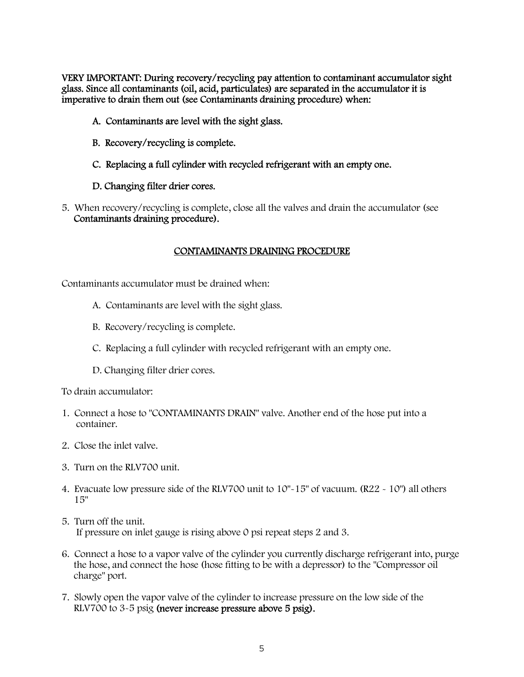VERY IMPORTANT: During recovery/recycling pay attention to contaminant accumulator sight glass. Since all contaminants (oil, acid, particulates) are separated in the accumulator it is imperative to drain them out (see Contaminants draining procedure) when:

- A. Contaminants are level with the sight glass.
- B. Recovery/recycling is complete.
- C. Replacing a full cylinder with recycled refrigerant with an empty one.
- D. Changing filter drier cores.
- 5. When recovery/recycling is complete, close all the valves and drain the accumulator (see Contaminants draining procedure).

#### CONTAMINANTS DRAINING PROCEDURE

Contaminants accumulator must be drained when:

- A. Contaminants are level with the sight glass.
- B. Recovery/recycling is complete.
- C. Replacing a full cylinder with recycled refrigerant with an empty one.
- D. Changing filter drier cores.

To drain accumulator:

- 1. Connect a hose to "CONTAMINANTS DRAIN" valve. Another end of the hose put into a container.
- 2. Close the inlet valve.
- 3. Turn on the RLV700 unit.
- 4. Evacuate low pressure side of the RLV700 unit to 10"-15" of vacuum. (R22 10") all others 15"
- 5. Turn off the unit. If pressure on inlet gauge is rising above 0 psi repeat steps 2 and 3.
- 6. Connect a hose to a vapor valve of the cylinder you currently discharge refrigerant into, purge the hose, and connect the hose (hose fitting to be with a depressor) to the "Compressor oil charge" port.
- 7. Slowly open the vapor valve of the cylinder to increase pressure on the low side of the RLV700 to 3-5 psig (never increase pressure above 5 psig).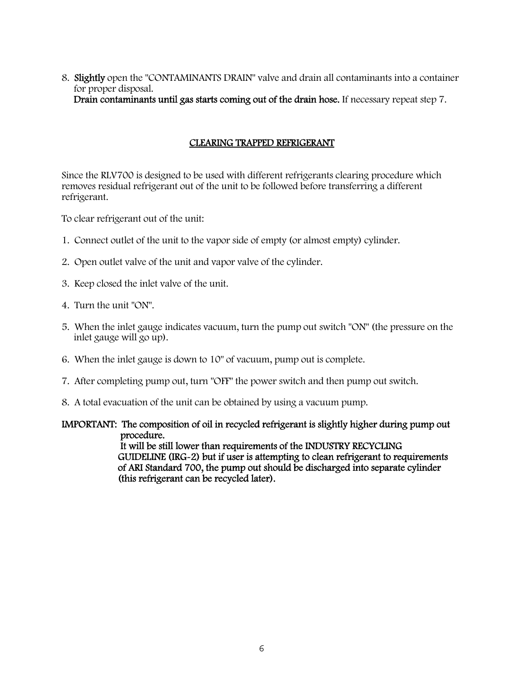#### 8. Slightly open the "CONTAMINANTS DRAIN" valve and drain all contaminants into a container for proper disposal. Drain contaminants until gas starts coming out of the drain hose. If necessary repeat step 7.

#### CLEARING TRAPPED REFRIGERANT

Since the RLV700 is designed to be used with different refrigerants clearing procedure which removes residual refrigerant out of the unit to be followed before transferring a different refrigerant.

To clear refrigerant out of the unit:

- 1. Connect outlet of the unit to the vapor side of empty (or almost empty) cylinder.
- 2. Open outlet valve of the unit and vapor valve of the cylinder.
- 3. Keep closed the inlet valve of the unit.
- 4. Turn the unit "ON".
- 5. When the inlet gauge indicates vacuum, turn the pump out switch "ON" (the pressure on the inlet gauge will go up).
- 6. When the inlet gauge is down to 10" of vacuum, pump out is complete.
- 7. After completing pump out, turn "OFF" the power switch and then pump out switch.
- 8. A total evacuation of the unit can be obtained by using a vacuum pump.

#### IMPORTANT: The composition of oil in recycled refrigerant is slightly higher during pump out procedure. It will be still lower than requirements of the INDUSTRY RECYCLING GUIDELINE (IRG-2) but if user is attempting to clean refrigerant to requirements

 of ARI Standard 700, the pump out should be discharged into separate cylinder (this refrigerant can be recycled later).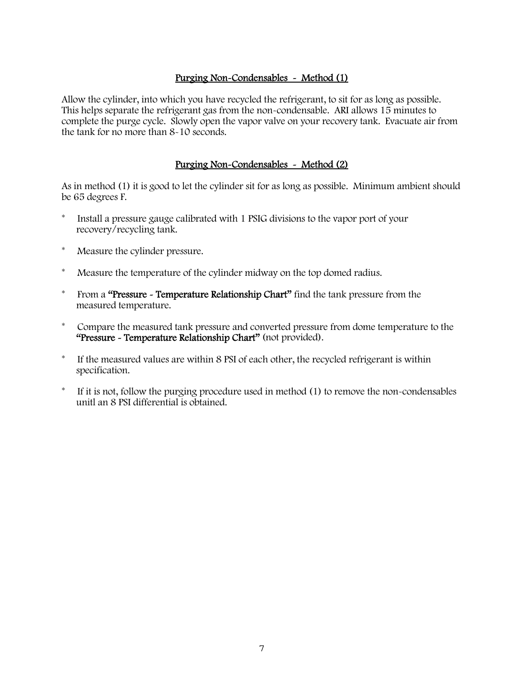#### Purging Non-Condensables - Method (1)

Allow the cylinder, into which you have recycled the refrigerant, to sit for as long as possible. This helps separate the refrigerant gas from the non-condensable. ARI allows 15 minutes to complete the purge cycle. Slowly open the vapor valve on your recovery tank. Evacuate air from the tank for no more than 8-10 seconds.

#### Purging Non-Condensables - Method (2)

As in method (1) it is good to let the cylinder sit for as long as possible. Minimum ambient should be 65 degrees F.

- \* Install a pressure gauge calibrated with 1 PSIG divisions to the vapor port of your recovery/recycling tank.
- \* Measure the cylinder pressure.
- Measure the temperature of the cylinder midway on the top domed radius.
- \* From a "Pressure Temperature Relationship Chart" find the tank pressure from the measured temperature.
- \* Compare the measured tank pressure and converted pressure from dome temperature to the "Pressure - Temperature Relationship Chart" (not provided).
- \* If the measured values are within 8 PSI of each other, the recycled refrigerant is within specification.
- \* If it is not, follow the purging procedure used in method (1) to remove the non-condensables unitl an 8 PSI differential is obtained.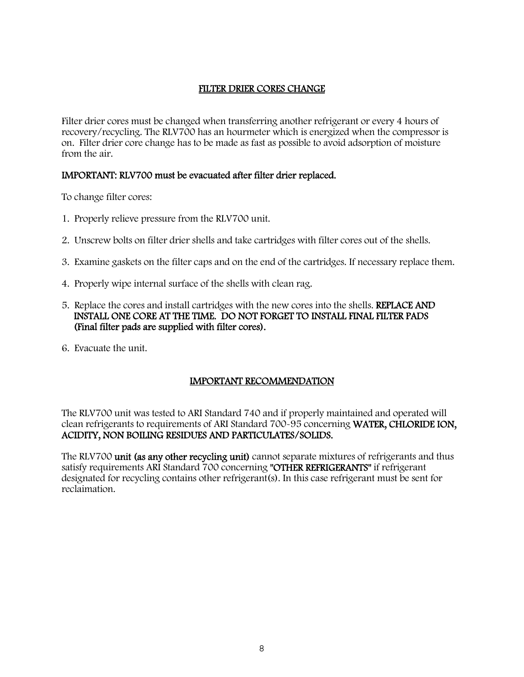#### FILTER DRIER CORES CHANGE

Filter drier cores must be changed when transferring another refrigerant or every 4 hours of recovery/recycling. The RLV700 has an hourmeter which is energized when the compressor is on. Filter drier core change has to be made as fast as possible to avoid adsorption of moisture from the air.

#### IMPORTANT: RLV700 must be evacuated after filter drier replaced.

To change filter cores:

- 1. Properly relieve pressure from the RLV700 unit.
- 2. Unscrew bolts on filter drier shells and take cartridges with filter cores out of the shells.
- 3. Examine gaskets on the filter caps and on the end of the cartridges. If necessary replace them.
- 4. Properly wipe internal surface of the shells with clean rag.
- 5. Replace the cores and install cartridges with the new cores into the shells. REPLACE AND INSTALL ONE CORE AT THE TIME. DO NOT FORGET TO INSTALL FINAL FILTER PADS (Final filter pads are supplied with filter cores).
- 6. Evacuate the unit.

#### IMPORTANT RECOMMENDATION

The RLV700 unit was tested to ARI Standard 740 and if properly maintained and operated will clean refrigerants to requirements of ARI Standard 700-95 concerning WATER, CHLORIDE ION, ACIDITY, NON BOILING RESIDUES AND PARTICULATES/SOLIDS.

The RLV700 unit (as any other recycling unit) cannot separate mixtures of refrigerants and thus satisfy requirements ARI Standard 700 concerning "OTHER REFRIGERANTS" if refrigerant designated for recycling contains other refrigerant(s). In this case refrigerant must be sent for reclaimation.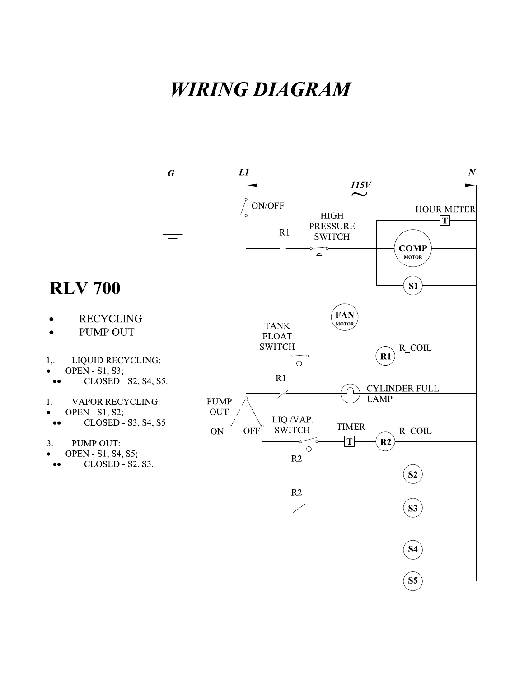## **WIRING DIAGRAM**